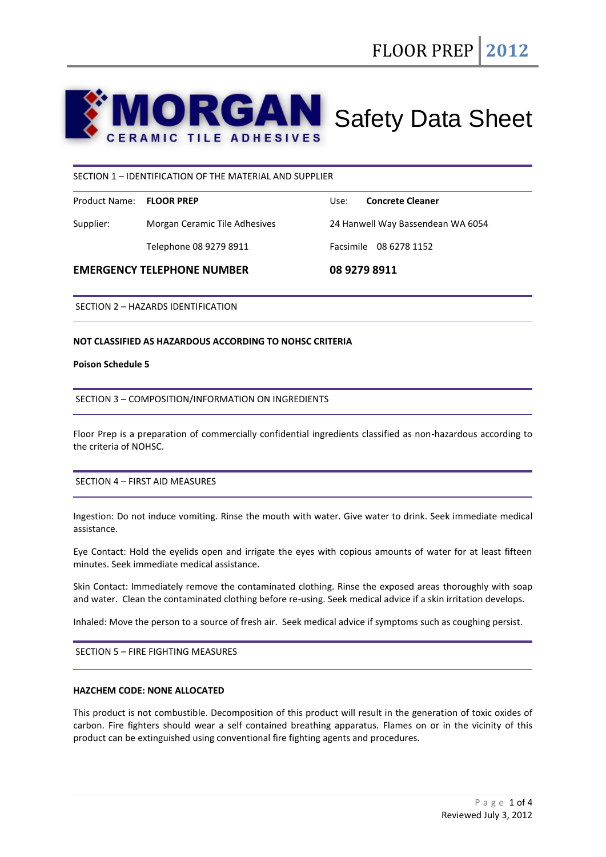# **ORGAN** Safety Data Sheet **ERAMIC TILE ADHESIVES**

## SECTION 1 – IDENTIFICATION OF THE MATERIAL AND SUPPLIER

| Product Name: FLOOR PREP |                               | Use:                              | <b>Concrete Cleaner</b> |
|--------------------------|-------------------------------|-----------------------------------|-------------------------|
| Supplier:                | Morgan Ceramic Tile Adhesives | 24 Hanwell Way Bassendean WA 6054 |                         |
|                          | Telephone 08 9279 8911        |                                   | Facsimile 08 6278 1152  |

### **EMERGENCY TELEPHONE NUMBER 08 9279 8911**

SECTION 2 – HAZARDS IDENTIFICATION

### **NOT CLASSIFIED AS HAZARDOUS ACCORDING TO NOHSC CRITERIA**

#### **Poison Schedule 5**

### SECTION 3 – COMPOSITION/INFORMATION ON INGREDIENTS

Floor Prep is a preparation of commercially confidential ingredients classified as non-hazardous according to the criteria of NOHSC.

## SECTION 4 – FIRST AID MEASURES

Ingestion: Do not induce vomiting. Rinse the mouth with water. Give water to drink. Seek immediate medical assistance.

Eye Contact: Hold the eyelids open and irrigate the eyes with copious amounts of water for at least fifteen minutes. Seek immediate medical assistance.

Skin Contact: Immediately remove the contaminated clothing. Rinse the exposed areas thoroughly with soap and water. Clean the contaminated clothing before re-using. Seek medical advice if a skin irritation develops.

Inhaled: Move the person to a source of fresh air. Seek medical advice if symptoms such as coughing persist.

SECTION 5 – FIRE FIGHTING MEASURES

# **HAZCHEM CODE: NONE ALLOCATED**

This product is not combustible. Decomposition of this product will result in the generation of toxic oxides of carbon. Fire fighters should wear a self contained breathing apparatus. Flames on or in the vicinity of this product can be extinguished using conventional fire fighting agents and procedures.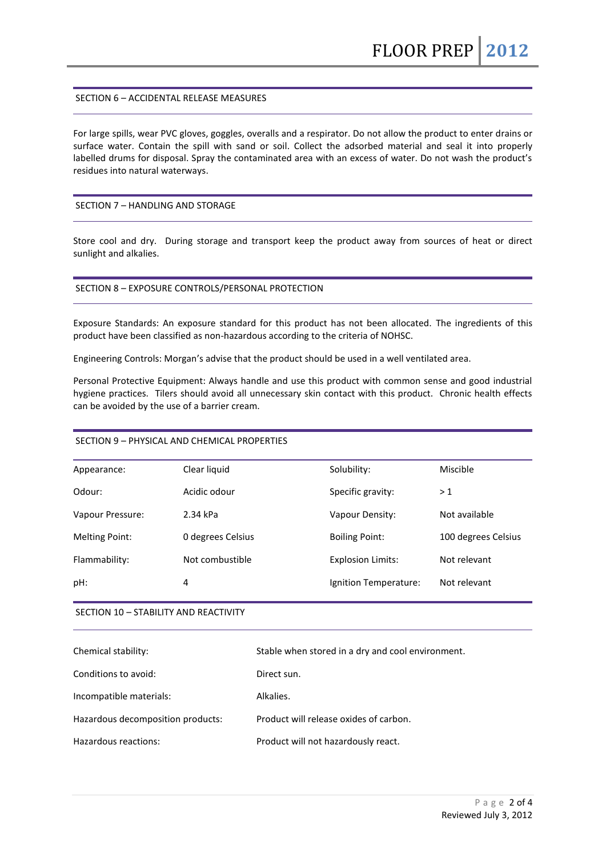## SECTION 6 – ACCIDENTAL RELEASE MEASURES

For large spills, wear PVC gloves, goggles, overalls and a respirator. Do not allow the product to enter drains or surface water. Contain the spill with sand or soil. Collect the adsorbed material and seal it into properly labelled drums for disposal. Spray the contaminated area with an excess of water. Do not wash the product's residues into natural waterways.

### SECTION 7 – HANDLING AND STORAGE

Store cool and dry. During storage and transport keep the product away from sources of heat or direct sunlight and alkalies.

### SECTION 8 – EXPOSURE CONTROLS/PERSONAL PROTECTION

Exposure Standards: An exposure standard for this product has not been allocated. The ingredients of this product have been classified as non-hazardous according to the criteria of NOHSC.

Engineering Controls: Morgan's advise that the product should be used in a well ventilated area.

Personal Protective Equipment: Always handle and use this product with common sense and good industrial hygiene practices. Tilers should avoid all unnecessary skin contact with this product. Chronic health effects can be avoided by the use of a barrier cream.

# SECTION 9 – PHYSICAL AND CHEMICAL PROPERTIES

| Appearance:           | Clear liquid      | Solubility:              | Miscible            |
|-----------------------|-------------------|--------------------------|---------------------|
| Odour:                | Acidic odour      | Specific gravity:        | >1                  |
| Vapour Pressure:      | 2.34 kPa          | Vapour Density:          | Not available       |
| <b>Melting Point:</b> | 0 degrees Celsius | <b>Boiling Point:</b>    | 100 degrees Celsius |
| Flammability:         | Not combustible   | <b>Explosion Limits:</b> | Not relevant        |
| pH:                   | 4                 | Ignition Temperature:    | Not relevant        |
|                       |                   |                          |                     |

# SECTION 10 – STABILITY AND REACTIVITY

| Chemical stability:               | Stable when stored in a dry and cool environment. |
|-----------------------------------|---------------------------------------------------|
| Conditions to avoid:              | Direct sun.                                       |
| Incompatible materials:           | Alkalies.                                         |
| Hazardous decomposition products: | Product will release oxides of carbon.            |
| Hazardous reactions:              | Product will not hazardously react.               |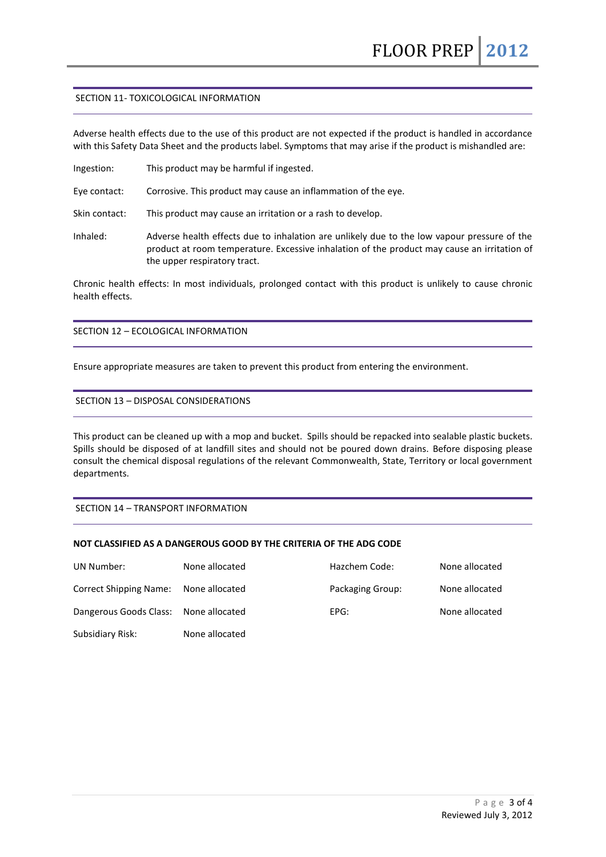### SECTION 11- TOXICOLOGICAL INFORMATION

Adverse health effects due to the use of this product are not expected if the product is handled in accordance with this Safety Data Sheet and the products label. Symptoms that may arise if the product is mishandled are:

Ingestion: This product may be harmful if ingested.

Eye contact: Corrosive. This product may cause an inflammation of the eye.

Skin contact: This product may cause an irritation or a rash to develop.

Inhaled: Adverse health effects due to inhalation are unlikely due to the low vapour pressure of the product at room temperature. Excessive inhalation of the product may cause an irritation of the upper respiratory tract.

Chronic health effects: In most individuals, prolonged contact with this product is unlikely to cause chronic health effects.

# SECTION 12 – ECOLOGICAL INFORMATION

Ensure appropriate measures are taken to prevent this product from entering the environment.

### SECTION 13 – DISPOSAL CONSIDERATIONS

This product can be cleaned up with a mop and bucket. Spills should be repacked into sealable plastic buckets. Spills should be disposed of at landfill sites and should not be poured down drains. Before disposing please consult the chemical disposal regulations of the relevant Commonwealth, State, Territory or local government departments.

# SECTION 14 – TRANSPORT INFORMATION

#### **NOT CLASSIFIED AS A DANGEROUS GOOD BY THE CRITERIA OF THE ADG CODE**

| UN Number:                            | None allocated | Hazchem Code:    | None allocated |
|---------------------------------------|----------------|------------------|----------------|
| <b>Correct Shipping Name:</b>         | None allocated | Packaging Group: | None allocated |
| Dangerous Goods Class: None allocated |                | EPG:             | None allocated |
| Subsidiary Risk:                      | None allocated |                  |                |